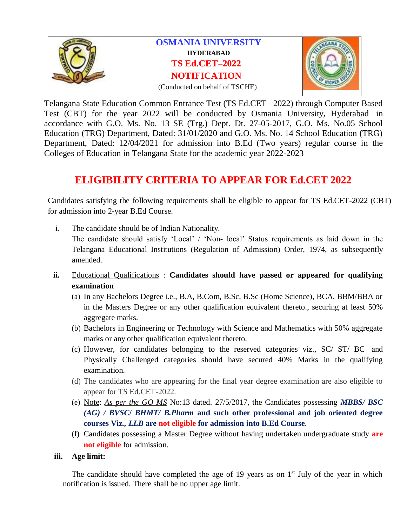

Telangana State Education Common Entrance Test (TS Ed.CET –2022) through Computer Based Test (CBT) for the year 2022 will be conducted by Osmania University**,** Hyderabad in accordance with G.O. Ms. No. 13 SE (Trg.) Dept. Dt. 27-05-2017, G.O. Ms. No.05 School Education (TRG) Department, Dated: 31/01/2020 and G.O. Ms. No. 14 School Education (TRG) Department, Dated: 12/04/2021 for admission into B.Ed (Two years) regular course in the Colleges of Education in Telangana State for the academic year 2022-2023

# **ELIGIBILITY CRITERIA TO APPEAR FOR Ed.CET 2022**

Candidates satisfying the following requirements shall be eligible to appear for TS Ed.CET-2022 (CBT) for admission into 2-year B.Ed Course.

- i. The candidate should be of Indian Nationality. The candidate should satisfy 'Local' / 'Non- local' Status requirements as laid down in the Telangana Educational Institutions (Regulation of Admission) Order, 1974, as subsequently amended.
- **ii.** Educational Qualifications : **Candidates should have passed or appeared for qualifying examination**
	- (a) In any Bachelors Degree i.e., B.A, B.Com, B.Sc, B.Sc (Home Science), BCA, BBM/BBA or in the Masters Degree or any other qualification equivalent thereto., securing at least 50% aggregate marks.
	- (b) Bachelors in Engineering or Technology with Science and Mathematics with 50% aggregate marks or any other qualification equivalent thereto.
	- (c) However, for candidates belonging to the reserved categories viz., SC/ ST/ BC and Physically Challenged categories should have secured 40% Marks in the qualifying examination.
	- (d) The candidates who are appearing for the final year degree examination are also eligible to appear for TS Ed.CET-2022.
	- (e) Note: *As per the GO MS* No:13 dated. 27/5/2017, the Candidates possessing *MBBS/ BSC (AG) / BVSC***/** *BHMT/ B.Pharm* **and such other professional and job oriented degree courses Viz***., LLB* **are not eligible for admission into B.Ed Course**.
	- (f) Candidates possessing a Master Degree without having undertaken undergraduate study **are not eligible** for admission.

### **iii. Age limit:**

The candidate should have completed the age of 19 years as on  $1<sup>st</sup>$  July of the year in which notification is issued. There shall be no upper age limit.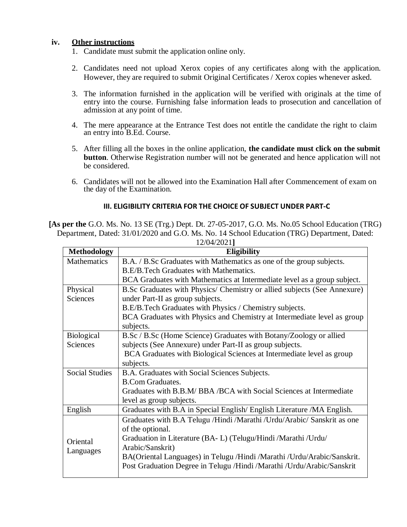#### **iv. Other instructions**

1. Candidate must submit the application online only.

- 2. Candidates need not upload Xerox copies of any certificates along with the application. However, they are required to submit Original Certificates / Xerox copies whenever asked.
- 3. The information furnished in the application will be verified with originals at the time of entry into the course. Furnishing false information leads to prosecution and cancellation of admission at any point of time.
- 4. The mere appearance at the Entrance Test does not entitle the candidate the right to claim an entry into B.Ed. Course.
- 5. After filling all the boxes in the online application, **the candidate must click on the submit button**. Otherwise Registration number will not be generated and hence application will not be considered.
- 6. Candidates will not be allowed into the Examination Hall after Commencement of exam on the day of the Examination.

#### **III. ELIGIBILITY CRITERIA FOR THE CHOICE OF SUBJECT UNDER PART-C**

**[As per the** G.O. Ms. No. 13 SE (Trg.) Dept. Dt. 27-05-2017, G.O. Ms. No.05 School Education (TRG) Department, Dated: 31/01/2020 and G.O. Ms. No. 14 School Education (TRG) Department, Dated:

| <b>Methodology</b>    | Eligibility                                                              |  |  |  |
|-----------------------|--------------------------------------------------------------------------|--|--|--|
| <b>Mathematics</b>    | B.A. / B.Sc Graduates with Mathematics as one of the group subjects.     |  |  |  |
|                       | B.E/B.Tech Graduates with Mathematics.                                   |  |  |  |
|                       | BCA Graduates with Mathematics at Intermediate level as a group subject. |  |  |  |
| Physical              | B.Sc Graduates with Physics/ Chemistry or allied subjects (See Annexure) |  |  |  |
| Sciences              | under Part-II as group subjects.                                         |  |  |  |
|                       | B.E/B.Tech Graduates with Physics / Chemistry subjects.                  |  |  |  |
|                       | BCA Graduates with Physics and Chemistry at Intermediate level as group  |  |  |  |
|                       | subjects.                                                                |  |  |  |
| <b>Biological</b>     | B.Sc / B.Sc (Home Science) Graduates with Botany/Zoology or allied       |  |  |  |
| Sciences              | subjects (See Annexure) under Part-II as group subjects.                 |  |  |  |
|                       | BCA Graduates with Biological Sciences at Intermediate level as group    |  |  |  |
|                       | subjects.                                                                |  |  |  |
| <b>Social Studies</b> | B.A. Graduates with Social Sciences Subjects.                            |  |  |  |
|                       | <b>B.Com Graduates.</b>                                                  |  |  |  |
|                       | Graduates with B.B.M/BBA/BCA with Social Sciences at Intermediate        |  |  |  |
|                       | level as group subjects.                                                 |  |  |  |
| English               | Graduates with B.A in Special English/ English Literature / MA English.  |  |  |  |
| Oriental<br>Languages | Graduates with B.A Telugu /Hindi /Marathi /Urdu/Arabic/ Sanskrit as one  |  |  |  |
|                       | of the optional.                                                         |  |  |  |
|                       | Graduation in Literature (BA-L) (Telugu/Hindi /Marathi /Urdu/            |  |  |  |
|                       | Arabic/Sanskrit)                                                         |  |  |  |
|                       | BA(Oriental Languages) in Telugu /Hindi /Marathi /Urdu/Arabic/Sanskrit.  |  |  |  |
|                       | Post Graduation Degree in Telugu /Hindi /Marathi /Urdu/Arabic/Sanskrit   |  |  |  |
|                       |                                                                          |  |  |  |

12/04/2021**]**